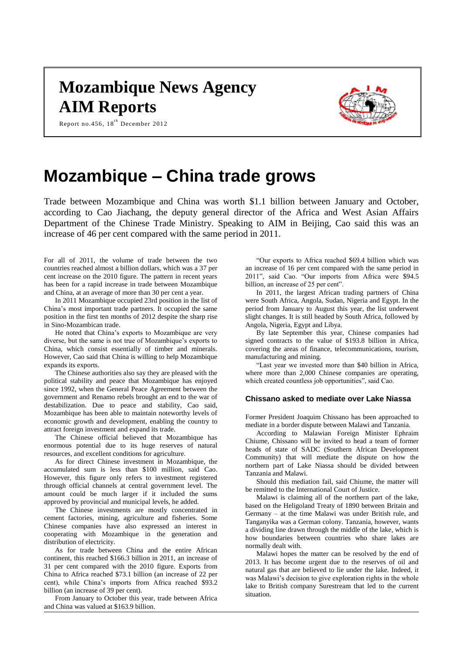## **Mozambique News Agency AIM Reports**



Report no.456, 18<sup>th</sup> December 2012

# **Mozambique – China trade grows**

Trade between Mozambique and China was worth \$1.1 billion between January and October, according to Cao Jiachang, the deputy general director of the Africa and West Asian Affairs Department of the Chinese Trade Ministry. Speaking to AIM in Beijing, Cao said this was an increase of 46 per cent compared with the same period in 2011.

For all of 2011, the volume of trade between the two countries reached almost a billion dollars, which was a 37 per cent increase on the 2010 figure. The pattern in recent years has been for a rapid increase in trade between Mozambique and China, at an average of more than 30 per cent a year.

In 2011 Mozambique occupied 23rd position in the list of China's most important trade partners. It occupied the same position in the first ten months of 2012 despite the sharp rise in Sino-Mozambican trade.

He noted that China's exports to Mozambique are very diverse, but the same is not true of Mozambique's exports to China, which consist essentially of timber and minerals. However, Cao said that China is willing to help Mozambique expands its exports.

The Chinese authorities also say they are pleased with the political stability and peace that Mozambique has enjoyed since 1992, when the General Peace Agreement between the government and Renamo rebels brought an end to the war of destabilization. Due to peace and stability, Cao said, Mozambique has been able to maintain noteworthy levels of economic growth and development, enabling the country to attract foreign investment and expand its trade.

The Chinese official believed that Mozambique has enormous potential due to its huge reserves of natural resources, and excellent conditions for agriculture.

As for direct Chinese investment in Mozambique, the accumulated sum is less than \$100 million, said Cao. However, this figure only refers to investment registered through official channels at central government level. The amount could be much larger if it included the sums approved by provincial and municipal levels, he added.

The Chinese investments are mostly concentrated in cement factories, mining, agriculture and fisheries. Some Chinese companies have also expressed an interest in cooperating with Mozambique in the generation and distribution of electricity.

As for trade between China and the entire African continent, this reached \$166.3 billion in 2011, an increase of 31 per cent compared with the 2010 figure. Exports from China to Africa reached \$73.1 billion (an increase of 22 per cent), while China's imports from Africa reached \$93.2 billion (an increase of 39 per cent).

From January to October this year, trade between Africa and China was valued at \$163.9 billion.

"Our exports to Africa reached \$69.4 billion which was an increase of 16 per cent compared with the same period in 2011", said Cao. "Our imports from Africa were \$94.5 billion, an increase of 25 per cent".

In 2011, the largest African trading partners of China were South Africa, Angola, Sudan, Nigeria and Egypt. In the period from January to August this year, the list underwent slight changes. It is still headed by South Africa, followed by Angola, Nigeria, Egypt and Libya.

By late September this year, Chinese companies had signed contracts to the value of \$193.8 billion in Africa, covering the areas of finance, telecommunications, tourism, manufacturing and mining.

"Last year we invested more than \$40 billion in Africa, where more than 2,000 Chinese companies are operating, which created countless job opportunities", said Cao.

### **Chissano asked to mediate over Lake Niassa**

Former President Joaquim Chissano has been approached to mediate in a border dispute between Malawi and Tanzania.

According to Malawian Foreign Minister Ephraim Chiume, Chissano will be invited to head a team of former heads of state of SADC (Southern African Development Community) that will mediate the dispute on how the northern part of Lake Niassa should be divided between Tanzania and Malawi.

Should this mediation fail, said Chiume, the matter will be remitted to the International Court of Justice.

Malawi is claiming all of the northern part of the lake, based on the Heligoland Treaty of 1890 between Britain and Germany – at the time Malawi was under British rule, and Tanganyika was a German colony. Tanzania, however, wants a dividing line drawn through the middle of the lake, which is how boundaries between countries who share lakes are normally dealt with.

Malawi hopes the matter can be resolved by the end of 2013. It has become urgent due to the reserves of oil and natural gas that are believed to lie under the lake. Indeed, it was Malawi's decision to give exploration rights in the whole lake to British company Surestream that led to the current situation.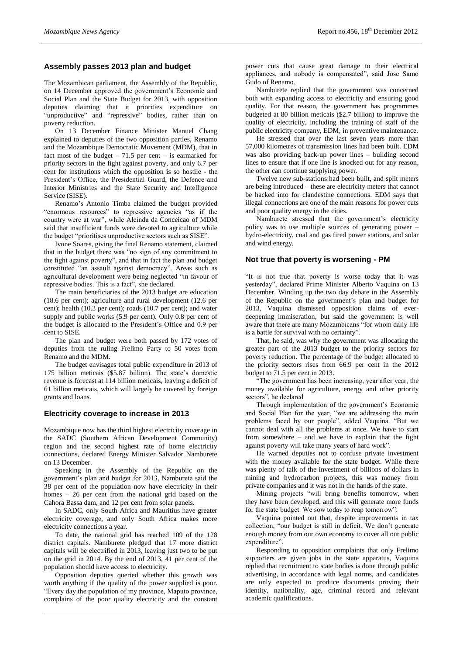## **Assembly passes 2013 plan and budget**

The Mozambican parliament, the Assembly of the Republic, on 14 December approved the government's Economic and Social Plan and the State Budget for 2013, with opposition deputies claiming that it priorities expenditure on "unproductive" and "repressive" bodies, rather than on poverty reduction.

On 13 December Finance Minister Manuel Chang explained to deputies of the two opposition parties, Renamo and the Mozambique Democratic Movement (MDM), that in fact most of the budget  $-71.5$  per cent  $-$  is earmarked for priority sectors in the fight against poverty, and only 6.7 per cent for institutions which the opposition is so hostile - the President's Office, the Presidential Guard, the Defence and Interior Ministries and the State Security and Intelligence Service (SISE).

Renamo's Antonio Timba claimed the budget provided "enormous resources" to repressive agencies "as if the country were at war", while Alcinda da Conceicao of MDM said that insufficient funds were devoted to agriculture while the budget "prioritises unproductive sectors such as SISE".

Ivone Soares, giving the final Renamo statement, claimed that in the budget there was "no sign of any commitment to the fight against poverty", and that in fact the plan and budget constituted "an assault against democracy". Areas such as agricultural development were being neglected "in favour of repressive bodies. This is a fact", she declared.

The main beneficiaries of the 2013 budget are education (18.6 per cent); agriculture and rural development (12.6 per cent); health (10.3 per cent); roads (10.7 per cent); and water supply and public works (5.9 per cent). Only 0.8 per cent of the budget is allocated to the President's Office and 0.9 per cent to SISE.

The plan and budget were both passed by 172 votes of deputies from the ruling Frelimo Party to 50 votes from Renamo and the MDM.

The budget envisages total public expenditure in 2013 of 175 billion meticais (\$5.87 billion). The state's domestic revenue is forecast at 114 billion meticais, leaving a deficit of 61 billion meticais, which will largely be covered by foreign grants and loans.

### **Electricity coverage to increase in 2013**

Mozambique now has the third highest electricity coverage in the SADC (Southern African Development Community) region and the second highest rate of home electricity connections, declared Energy Minister Salvador Namburete on 13 December.

Speaking in the Assembly of the Republic on the government's plan and budget for 2013, Namburete said the 38 per cent of the population now have electricity in their homes – 26 per cent from the national grid based on the Cahora Bassa dam, and 12 per cent from solar panels.

In SADC, only South Africa and Mauritius have greater electricity coverage, and only South Africa makes more electricity connections a year.

To date, the national grid has reached 109 of the 128 district capitals. Namburete pledged that 17 more district capitals will be electrified in 2013, leaving just two to be put on the grid in 2014. By the end of 2013, 41 per cent of the population should have access to electricity.

Opposition deputies queried whether this growth was worth anything if the quality of the power supplied is poor. "Every day the population of my province, Maputo province, complains of the poor quality electricity and the constant power cuts that cause great damage to their electrical appliances, and nobody is compensated", said Jose Samo Gudo of Renamo.

Namburete replied that the government was concerned both with expanding access to electricity and ensuring good quality. For that reason, the government has programmes budgeted at 80 billion meticais (\$2.7 billion) to improve the quality of electricity, including the training of staff of the public electricity company, EDM, in preventive maintenance.

He stressed that over the last seven years more than 57,000 kilometres of transmission lines had been built. EDM was also providing back-up power lines – building second lines to ensure that if one line is knocked out for any reason, the other can continue supplying power.

Twelve new sub-stations had been built, and split meters are being introduced – these are electricity meters that cannot be hacked into for clandestine connections. EDM says that illegal connections are one of the main reasons for power cuts and poor quality energy in the cities.

Namburete stressed that the government's electricity policy was to use multiple sources of generating power – hydro-electricity, coal and gas fired power stations, and solar and wind energy.

## **Not true that poverty is worsening - PM**

"It is not true that poverty is worse today that it was yesterday", declared Prime Minister Alberto Vaquina on 13 December. Winding up the two day debate in the Assembly of the Republic on the government's plan and budget for 2013, Vaquina dismissed opposition claims of everdeepening immiseration, but said the government is well aware that there are many Mozambicans "for whom daily life is a battle for survival with no certainty".

That, he said, was why the government was allocating the greater part of the 2013 budget to the priority sectors for poverty reduction. The percentage of the budget allocated to the priority sectors rises from 66.9 per cent in the 2012 budget to 71.5 per cent in 2013.

"The government has been increasing, year after year, the money available for agriculture, energy and other priority sectors", he declared

Through implementation of the government's Economic and Social Plan for the year, "we are addressing the main problems faced by our people", added Vaquina. "But we cannot deal with all the problems at once. We have to start from somewhere – and we have to explain that the fight against poverty will take many years of hard work".

He warned deputies not to confuse private investment with the money available for the state budget. While there was plenty of talk of the investment of billions of dollars in mining and hydrocarbon projects, this was money from private companies and it was not in the hands of the state.

Mining projects "will bring benefits tomorrow, when they have been developed, and this will generate more funds for the state budget. We sow today to reap tomorrow".

Vaquina pointed out that, despite improvements in tax collection, "our budget is still in deficit. We don't generate enough money from our own economy to cover all our public expenditure".

Responding to opposition complaints that only Frelimo supporters are given jobs in the state apparatus, Vaquina replied that recruitment to state bodies is done through public advertising, in accordance with legal norms, and candidates are only expected to produce documents proving their identity, nationality, age, criminal record and relevant academic qualifications.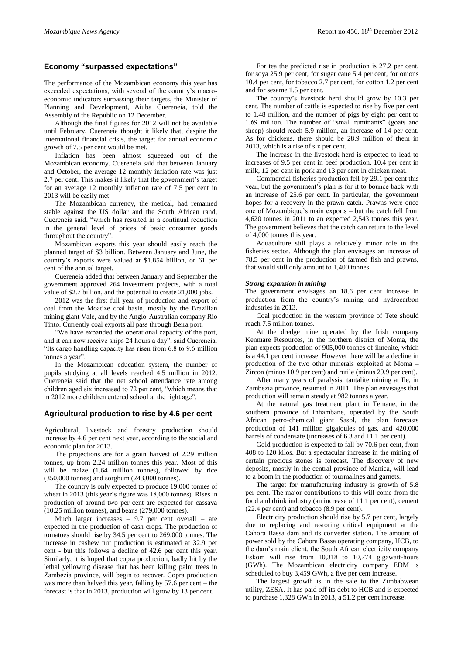## **Economy "surpassed expectations"**

The performance of the Mozambican economy this year has exceeded expectations, with several of the country's macroeconomic indicators surpassing their targets, the Minister of Planning and Development, Aiuba Cuereneia, told the Assembly of the Republic on 12 December.

Although the final figures for 2012 will not be available until February, Cuereneia thought it likely that, despite the international financial crisis, the target for annual economic growth of 7.5 per cent would be met.

Inflation has been almost squeezed out of the Mozambican economy. Cuereneia said that between January and October, the average 12 monthly inflation rate was just 2.7 per cent. This makes it likely that the government's target for an average 12 monthly inflation rate of 7.5 per cent in 2013 will be easily met.

The Mozambican currency, the metical, had remained stable against the US dollar and the South African rand, Cuereneia said, "which has resulted in a continual reduction in the general level of prices of basic consumer goods throughout the country".

Mozambican exports this year should easily reach the planned target of \$3 billion. Between January and June, the country's exports were valued at \$1.854 billion, or 61 per cent of the annual target.

Cuereneia added that between January and September the government approved 264 investment projects, with a total value of \$2.7 billion, and the potential to create 21,000 jobs.

2012 was the first full year of production and export of coal from the Moatize coal basin, mostly by the Brazilian mining giant Vale, and by the Anglo-Australian company Rio Tinto. Currently coal exports all pass through Beira port.

"We have expanded the operational capacity of the port, and it can now receive ships 24 hours a day", said Cuereneia. "Its cargo handling capacity has risen from 6.8 to 9.6 million tonnes a year".

In the Mozambican education system, the number of pupils studying at all levels reached 4.5 million in 2012. Cuereneia said that the net school attendance rate among children aged six increased to 72 per cent, "which means that in 2012 more children entered school at the right age".

### **Agricultural production to rise by 4.6 per cent**

Agricultural, livestock and forestry production should increase by 4.6 per cent next year, according to the social and economic plan for 2013.

The projections are for a grain harvest of 2.29 million tonnes, up from 2.24 million tonnes this year. Most of this will be maize (1.64 million tonnes), followed by rice (350,000 tonnes) and sorghum (243,000 tonnes).

The country is only expected to produce 19,000 tonnes of wheat in 2013 (this year's figure was 18,000 tonnes). Rises in production of around two per cent are expected for cassava (10.25 million tonnes), and beans (279,000 tonnes).

Much larger increases  $-9.7$  per cent overall  $-$  are expected in the production of cash crops. The production of tomatoes should rise by 34.5 per cent to 269,000 tonnes. The increase in cashew nut production is estimated at 32.9 per cent - but this follows a decline of 42.6 per cent this year. Similarly, it is hoped that copra production, badly hit by the lethal yellowing disease that has been killing palm trees in Zambezia province, will begin to recover. Copra production was more than halved this year, falling by 57.6 per cent – the forecast is that in 2013, production will grow by 13 per cent.

For tea the predicted rise in production is 27.2 per cent, for soya 25.9 per cent, for sugar cane 5.4 per cent, for onions 10.4 per cent, for tobacco 2.7 per cent, for cotton 1.2 per cent and for sesame 1.5 per cent.

The country's livestock herd should grow by 10.3 per cent. The number of cattle is expected to rise by five per cent to 1.48 million, and the number of pigs by eight per cent to 1.69 million. The number of "small ruminants" (goats and sheep) should reach 5.9 million, an increase of 14 per cent. As for chickens, there should be 28.9 million of them in 2013, which is a rise of six per cent.

The increase in the livestock herd is expected to lead to increases of 9.5 per cent in beef production, 10.4 per cent in milk, 12 per cent in pork and 13 per cent in chicken meat.

Commercial fisheries production fell by 29.1 per cent this year, but the government's plan is for it to bounce back with an increase of 25.6 per cent. In particular, the government hopes for a recovery in the prawn catch. Prawns were once one of Mozambique's main exports – but the catch fell from 4,620 tonnes in 2011 to an expected 2,543 tonnes this year. The government believes that the catch can return to the level of 4,000 tonnes this year.

Aquaculture still plays a relatively minor role in the fisheries sector. Although the plan envisages an increase of 78.5 per cent in the production of farmed fish and prawns, that would still only amount to 1,400 tonnes.

#### *Strong expansion in mining*

The government envisages an 18.6 per cent increase in production from the country's mining and hydrocarbon industries in 2013.

Coal production in the western province of Tete should reach 7.5 million tonnes.

At the dredge mine operated by the Irish company Kenmare Resources, in the northern district of Moma, the plan expects production of 905,000 tonnes of ilmenite, which is a 44.1 per cent increase. However there will be a decline in production of the two other minerals exploited at Moma – Zircon (minus 10.9 per cent) and rutile (minus 29.9 per cent).

After many years of paralysis, tantalite mining at Ile, in Zambezia province, resumed in 2011. The plan envisages that production will remain steady at 982 tonnes a year.

At the natural gas treatment plant in Temane, in the southern province of Inhambane, operated by the South African petro-chemical giant Sasol, the plan forecasts production of 141 million gigajoules of gas, and 420,000 barrels of condensate (increases of 6.3 and 11.1 per cent).

Gold production is expected to fall by 70.6 per cent, from 408 to 120 kilos. But a spectacular increase in the mining of certain precious stones is forecast. The discovery of new deposits, mostly in the central province of Manica, will lead to a boom in the production of tourmalines and garnets.

The target for manufacturing industry is growth of 5.8 per cent. The major contributions to this will come from the food and drink industry (an increase of 11.1 per cent), cement (22.4 per cent) and tobacco (8.9 per cent).

Electricity production should rise by 5.7 per cent, largely due to replacing and restoring critical equipment at the Cahora Bassa dam and its converter station. The amount of power sold by the Cahora Bassa operating company, HCB, to the dam's main client, the South African electricity company Eskom will rise from 10,318 to 10,774 gigawatt-hours (GWh). The Mozambican electricity company EDM is scheduled to buy 3,459 GWh, a five per cent increase.

The largest growth is in the sale to the Zimbabwean utility, ZESA. It has paid off its debt to HCB and is expected to purchase 1,328 GWh in 2013, a 51.2 per cent increase.